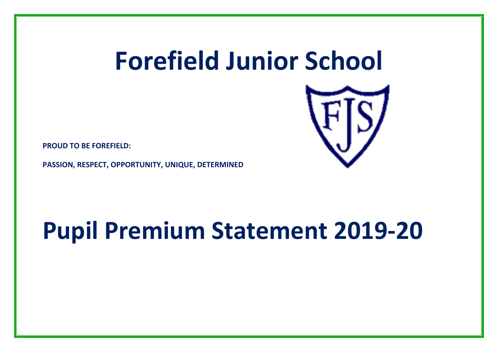# **Forefield Junior School**



**PROUD TO BE FOREFIELD:** 

**PASSION, RESPECT, OPPORTUNITY, UNIQUE, DETERMINED**

## **Pupil Premium Statement 2019-20**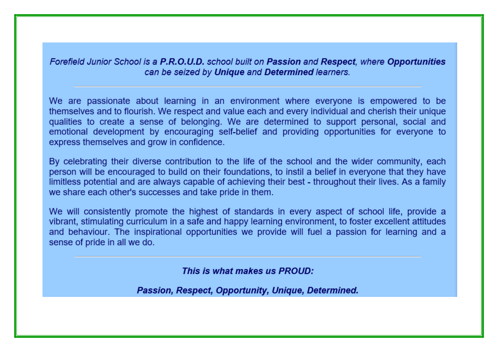Forefield Junior School is a P.R.O.U.D. school built on Passion and Respect, where Opportunities can be seized by Unique and Determined learners.

We are passionate about learning in an environment where everyone is empowered to be themselves and to flourish. We respect and value each and every individual and cherish their unique qualities to create a sense of belonging. We are determined to support personal, social and emotional development by encouraging self-belief and providing opportunities for everyone to express themselves and grow in confidence.

By celebrating their diverse contribution to the life of the school and the wider community, each person will be encouraged to build on their foundations, to instil a belief in everyone that they have limitless potential and are always capable of achieving their best - throughout their lives. As a family we share each other's successes and take pride in them.

We will consistently promote the highest of standards in every aspect of school life, provide a vibrant, stimulating curriculum in a safe and happy learning environment, to foster excellent attitudes and behaviour. The inspirational opportunities we provide will fuel a passion for learning and a sense of pride in all we do.

This is what makes us PROUD:

Passion, Respect, Opportunity, Unique, Determined.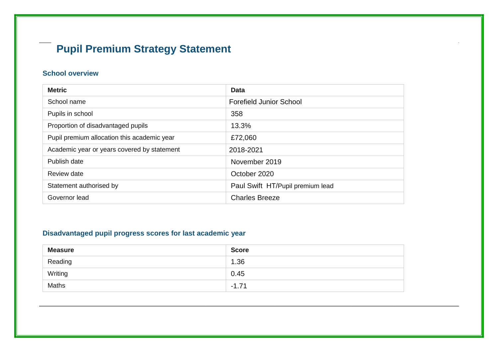### **Pupil Premium Strategy Statement**

#### **School overview**

| <b>Metric</b>                               | <b>Data</b>                      |
|---------------------------------------------|----------------------------------|
| School name                                 | <b>Forefield Junior School</b>   |
| Pupils in school                            | 358                              |
| Proportion of disadvantaged pupils          | 13.3%                            |
| Pupil premium allocation this academic year | £72,060                          |
| Academic year or years covered by statement | 2018-2021                        |
| Publish date                                | November 2019                    |
| Review date                                 | October 2020                     |
| Statement authorised by                     | Paul Swift HT/Pupil premium lead |
| Governor lead                               | <b>Charles Breeze</b>            |

#### **Disadvantaged pupil progress scores for last academic year**

| <b>Measure</b> | <b>Score</b> |
|----------------|--------------|
| Reading        | 1.36         |
| Writing        | 0.45         |
| <b>Maths</b>   | $-1.71$      |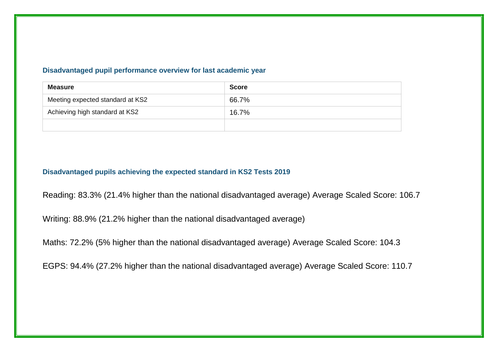#### **Disadvantaged pupil performance overview for last academic year**

| <b>Measure</b>                   | <b>Score</b> |
|----------------------------------|--------------|
| Meeting expected standard at KS2 | 66.7%        |
| Achieving high standard at KS2   | 16.7%        |
|                                  |              |

#### **Disadvantaged pupils achieving the expected standard in KS2 Tests 2019**

Reading: 83.3% (21.4% higher than the national disadvantaged average) Average Scaled Score: 106.7

Writing: 88.9% (21.2% higher than the national disadvantaged average)

Maths: 72.2% (5% higher than the national disadvantaged average) Average Scaled Score: 104.3

EGPS: 94.4% (27.2% higher than the national disadvantaged average) Average Scaled Score: 110.7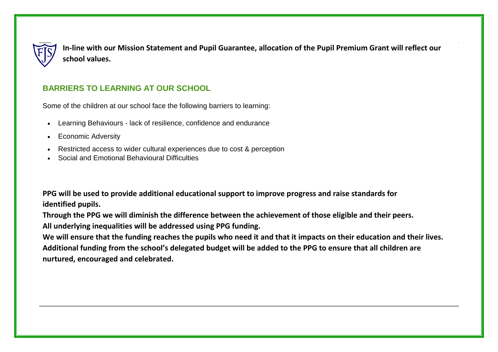

**In-line with our Mission Statement and Pupil Guarantee, allocation of the Pupil Premium Grant will reflect our school values.**

#### **BARRIERS TO LEARNING AT OUR SCHOOL**

Some of the children at our school face the following barriers to learning:

- Learning Behaviours lack of resilience, confidence and endurance
- Economic Adversity
- Restricted access to wider cultural experiences due to cost & perception
- Social and Emotional Behavioural Difficulties

**PPG will be used to provide additional educational support to improve progress and raise standards for identified pupils.**

**Through the PPG we will diminish the difference between the achievement of those eligible and their peers. All underlying inequalities will be addressed using PPG funding.**

**We will ensure that the funding reaches the pupils who need it and that it impacts on their education and their lives. Additional funding from the school's delegated budget will be added to the PPG to ensure that all children are nurtured, encouraged and celebrated.**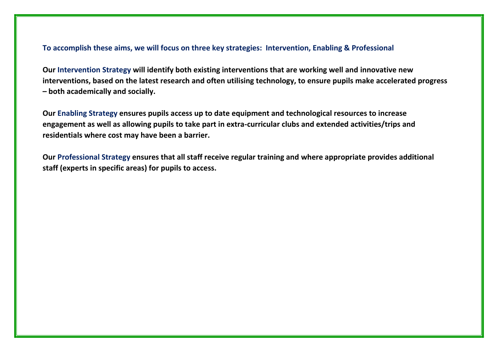#### **To accomplish these aims, we will focus on three key strategies: Intervention, Enabling & Professional**

**Our Intervention Strategy will identify both existing interventions that are working well and innovative new interventions, based on the latest research and often utilising technology, to ensure pupils make accelerated progress – both academically and socially.**

**Our Enabling Strategy ensures pupils access up to date equipment and technological resources to increase engagement as well as allowing pupils to take part in extra-curricular clubs and extended activities/trips and residentials where cost may have been a barrier.**

**Our Professional Strategy ensures that all staff receive regular training and where appropriate provides additional staff (experts in specific areas) for pupils to access.**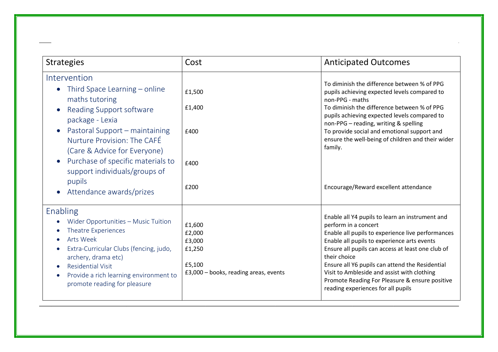| <b>Strategies</b>                                                                                                                                                                                                                                                                     | Cost                                                                                    | <b>Anticipated Outcomes</b>                                                                                                                                                                                                                                                                                                                                                                                                                |
|---------------------------------------------------------------------------------------------------------------------------------------------------------------------------------------------------------------------------------------------------------------------------------------|-----------------------------------------------------------------------------------------|--------------------------------------------------------------------------------------------------------------------------------------------------------------------------------------------------------------------------------------------------------------------------------------------------------------------------------------------------------------------------------------------------------------------------------------------|
| Intervention<br>Third Space Learning – online<br>maths tutoring<br>Reading Support software<br>package - Lexia<br>Pastoral Support - maintaining<br>Nurture Provision: The CAFÉ<br>(Care & Advice for Everyone)<br>Purchase of specific materials to<br>support individuals/groups of | £1,500<br>£1,400<br>£400<br>£400                                                        | To diminish the difference between % of PPG<br>pupils achieving expected levels compared to<br>non-PPG - maths<br>To diminish the difference between % of PPG<br>pupils achieving expected levels compared to<br>non-PPG - reading, writing & spelling<br>To provide social and emotional support and<br>ensure the well-being of children and their wider<br>family.                                                                      |
| pupils<br>Attendance awards/prizes                                                                                                                                                                                                                                                    | £200                                                                                    | Encourage/Reward excellent attendance                                                                                                                                                                                                                                                                                                                                                                                                      |
| Enabling<br>Wider Opportunities - Music Tuition<br>Theatre Experiences<br><b>Arts Week</b><br>Extra-Curricular Clubs (fencing, judo,<br>archery, drama etc)<br><b>Residential Visit</b><br>Provide a rich learning environment to<br>promote reading for pleasure                     | £1,600<br>£2,000<br>£3,000<br>£1,250<br>£5,100<br>£3,000 - books, reading areas, events | Enable all Y4 pupils to learn an instrument and<br>perform in a concert<br>Enable all pupils to experience live performances<br>Enable all pupils to experience arts events<br>Ensure all pupils can access at least one club of<br>their choice<br>Ensure all Y6 pupils can attend the Residential<br>Visit to Ambleside and assist with clothing<br>Promote Reading For Pleasure & ensure positive<br>reading experiences for all pupils |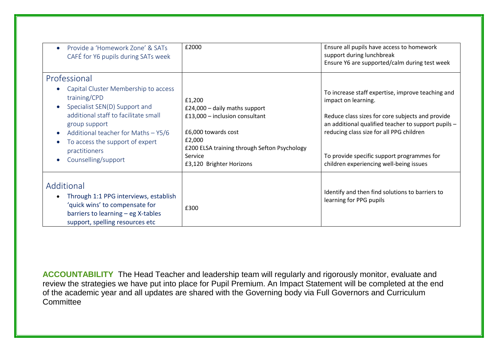| Provide a 'Homework Zone' & SATs<br>$\bullet$<br>CAFÉ for Y6 pupils during SATs week                                                                                                                                                                                                                         | £2000                                                                                                                                                                                             | Ensure all pupils have access to homework<br>support during lunchbreak<br>Ensure Y6 are supported/calm during test week                                                                                                                                                                                                  |
|--------------------------------------------------------------------------------------------------------------------------------------------------------------------------------------------------------------------------------------------------------------------------------------------------------------|---------------------------------------------------------------------------------------------------------------------------------------------------------------------------------------------------|--------------------------------------------------------------------------------------------------------------------------------------------------------------------------------------------------------------------------------------------------------------------------------------------------------------------------|
| Professional<br>Capital Cluster Membership to access<br>training/CPD<br>Specialist SEN(D) Support and<br>$\bullet$<br>additional staff to facilitate small<br>group support<br>Additional teacher for Maths $-$ Y5/6<br>To access the support of expert<br>practitioners<br>Counselling/support<br>$\bullet$ | £1,200<br>£24,000 - daily maths support<br>£13,000 - inclusion consultant<br>£6,000 towards cost<br>£2,000<br>£200 ELSA training through Sefton Psychology<br>Service<br>£3,120 Brighter Horizons | To increase staff expertise, improve teaching and<br>impact on learning.<br>Reduce class sizes for core subjects and provide<br>an additional qualified teacher to support pupils -<br>reducing class size for all PPG children<br>To provide specific support programmes for<br>children experiencing well-being issues |
| Additional<br>Through 1:1 PPG interviews, establish<br>$\bullet$<br>'quick wins' to compensate for<br>barriers to learning - eg X-tables<br>support, spelling resources etc                                                                                                                                  | £300                                                                                                                                                                                              | Identify and then find solutions to barriers to<br>learning for PPG pupils                                                                                                                                                                                                                                               |

**ACCOUNTABILITY** The Head Teacher and leadership team will regularly and rigorously monitor, evaluate and review the strategies we have put into place for Pupil Premium. An Impact Statement will be completed at the end of the academic year and all updates are shared with the Governing body via Full Governors and Curriculum **Committee**